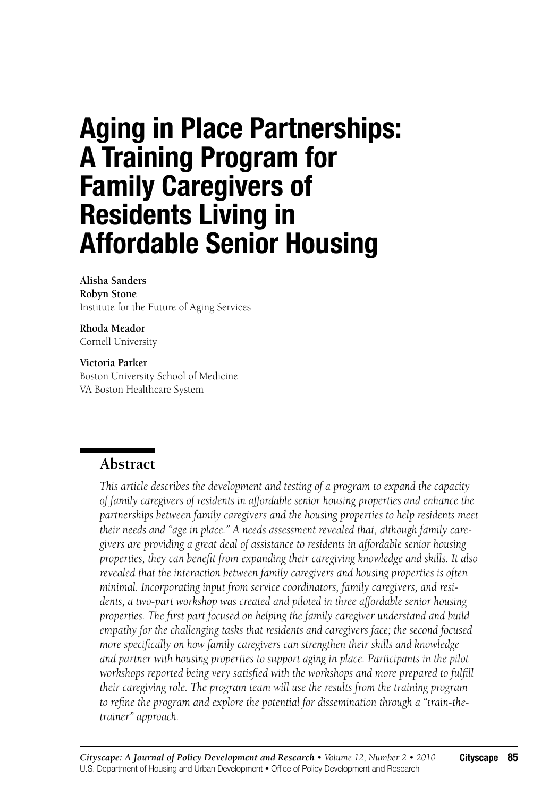# **Aging in Place Partnerships: A Training Program for Family Caregivers of Residents Living in Affordable Senior Housing**

#### **Alisha Sanders Robyn Stone** Institute for the Future of Aging Services

**Rhoda Meador** Cornell University

**Victoria Parker** Boston University School of Medicine VA Boston Healthcare System

# **Abstract**

*This article describes the development and testing of a program to expand the capacity of family caregivers of residents in affordable senior housing properties and enhance the partnerships between family caregivers and the housing properties to help residents meet their needs and "age in place." A needs assessment revealed that, although family caregivers are providing a great deal of assistance to residents in affordable senior housing properties, they can benefit from expanding their caregiving knowledge and skills. It also revealed that the interaction between family caregivers and housing properties is often minimal. Incorporating input from service coordinators, family caregivers, and residents, a two-part workshop was created and piloted in three affordable senior housing properties. The first part focused on helping the family caregiver understand and build empathy for the challenging tasks that residents and caregivers face; the second focused more specifically on how family caregivers can strengthen their skills and knowledge and partner with housing properties to support aging in place. Participants in the pilot workshops reported being very satisfied with the workshops and more prepared to fulfill their caregiving role. The program team will use the results from the training program to refine the program and explore the potential for dissemination through a "train-thetrainer" approach.*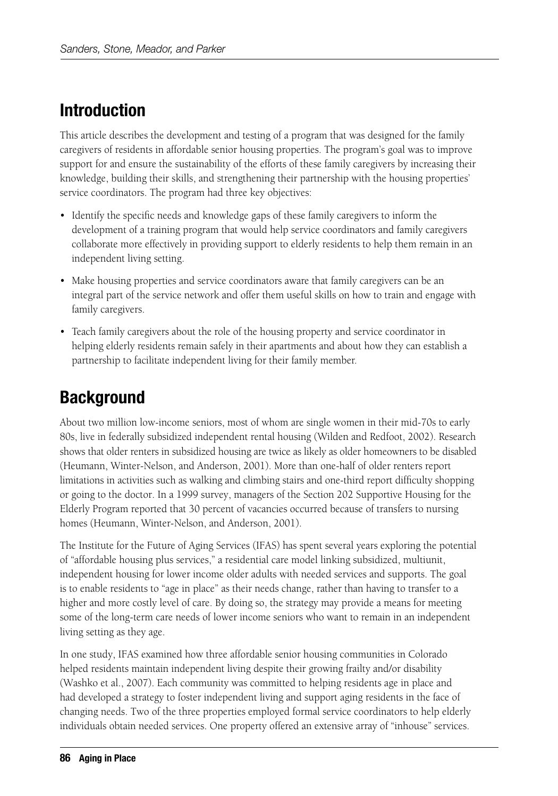# **Introduction**

This article describes the development and testing of a program that was designed for the family caregivers of residents in affordable senior housing properties. The program's goal was to improve support for and ensure the sustainability of the efforts of these family caregivers by increasing their knowledge, building their skills, and strengthening their partnership with the housing properties' service coordinators. The program had three key objectives:

- Identify the specific needs and knowledge gaps of these family caregivers to inform the development of a training program that would help service coordinators and family caregivers collaborate more effectively in providing support to elderly residents to help them remain in an independent living setting.
- Make housing properties and service coordinators aware that family caregivers can be an integral part of the service network and offer them useful skills on how to train and engage with family caregivers.
- Teach family caregivers about the role of the housing property and service coordinator in helping elderly residents remain safely in their apartments and about how they can establish a partnership to facilitate independent living for their family member.

# **Background**

About two million low-income seniors, most of whom are single women in their mid-70s to early 80s, live in federally subsidized independent rental housing (Wilden and Redfoot, 2002). Research shows that older renters in subsidized housing are twice as likely as older homeowners to be disabled (Heumann, Winter-Nelson, and Anderson, 2001). More than one-half of older renters report limitations in activities such as walking and climbing stairs and one-third report difficulty shopping or going to the doctor. In a 1999 survey, managers of the Section 202 Supportive Housing for the Elderly Program reported that 30 percent of vacancies occurred because of transfers to nursing homes (Heumann, Winter-Nelson, and Anderson, 2001).

The Institute for the Future of Aging Services (IFAS) has spent several years exploring the potential of "affordable housing plus services," a residential care model linking subsidized, multiunit, independent housing for lower income older adults with needed services and supports. The goal is to enable residents to "age in place" as their needs change, rather than having to transfer to a higher and more costly level of care. By doing so, the strategy may provide a means for meeting some of the long-term care needs of lower income seniors who want to remain in an independent living setting as they age.

In one study, IFAS examined how three affordable senior housing communities in Colorado helped residents maintain independent living despite their growing frailty and/or disability (Washko et al., 2007). Each community was committed to helping residents age in place and had developed a strategy to foster independent living and support aging residents in the face of changing needs. Two of the three properties employed formal service coordinators to help elderly individuals obtain needed services. One property offered an extensive array of "inhouse" services.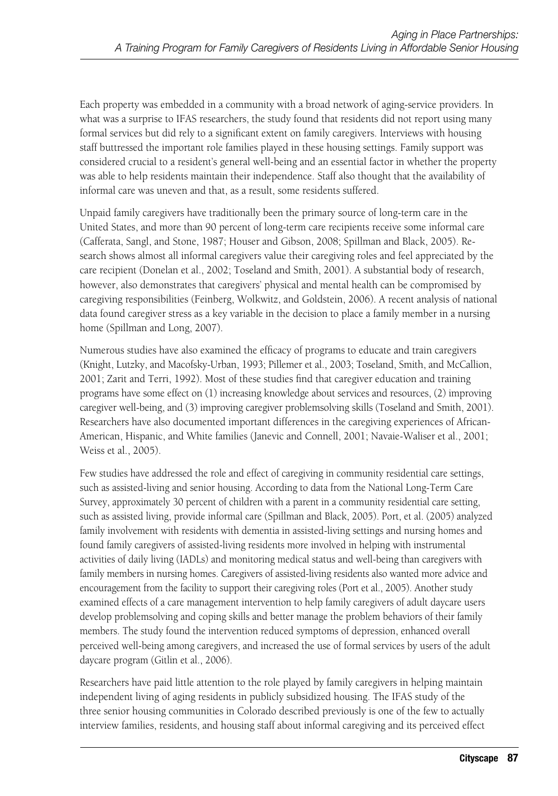Each property was embedded in a community with a broad network of aging-service providers. In what was a surprise to IFAS researchers, the study found that residents did not report using many formal services but did rely to a significant extent on family caregivers. Interviews with housing staff buttressed the important role families played in these housing settings. Family support was considered crucial to a resident's general well-being and an essential factor in whether the property was able to help residents maintain their independence. Staff also thought that the availability of informal care was uneven and that, as a result, some residents suffered.

Unpaid family caregivers have traditionally been the primary source of long-term care in the United States, and more than 90 percent of long-term care recipients receive some informal care (Cafferata, Sangl, and Stone, 1987; Houser and Gibson, 2008; Spillman and Black, 2005). Research shows almost all informal caregivers value their caregiving roles and feel appreciated by the care recipient (Donelan et al., 2002; Toseland and Smith, 2001). A substantial body of research, however, also demonstrates that caregivers' physical and mental health can be compromised by caregiving responsibilities (Feinberg, Wolkwitz, and Goldstein, 2006). A recent analysis of national data found caregiver stress as a key variable in the decision to place a family member in a nursing home (Spillman and Long, 2007).

Numerous studies have also examined the efficacy of programs to educate and train caregivers (Knight, Lutzky, and Macofsky-Urban, 1993; Pillemer et al., 2003; Toseland, Smith, and McCallion, 2001; Zarit and Terri, 1992). Most of these studies find that caregiver education and training programs have some effect on (1) increasing knowledge about services and resources, (2) improving caregiver well-being, and (3) improving caregiver problemsolving skills (Toseland and Smith, 2001). Researchers have also documented important differences in the caregiving experiences of African-American, Hispanic, and White families (Janevic and Connell, 2001; Navaie-Waliser et al., 2001; Weiss et al., 2005).

Few studies have addressed the role and effect of caregiving in community residential care settings, such as assisted-living and senior housing. According to data from the National Long-Term Care Survey, approximately 30 percent of children with a parent in a community residential care setting, such as assisted living, provide informal care (Spillman and Black, 2005). Port, et al. (2005) analyzed family involvement with residents with dementia in assisted-living settings and nursing homes and found family caregivers of assisted-living residents more involved in helping with instrumental activities of daily living (IADLs) and monitoring medical status and well-being than caregivers with family members in nursing homes. Caregivers of assisted-living residents also wanted more advice and encouragement from the facility to support their caregiving roles (Port et al., 2005). Another study examined effects of a care management intervention to help family caregivers of adult daycare users develop problemsolving and coping skills and better manage the problem behaviors of their family members. The study found the intervention reduced symptoms of depression, enhanced overall perceived well-being among caregivers, and increased the use of formal services by users of the adult daycare program (Gitlin et al., 2006).

Researchers have paid little attention to the role played by family caregivers in helping maintain independent living of aging residents in publicly subsidized housing. The IFAS study of the three senior housing communities in Colorado described previously is one of the few to actually interview families, residents, and housing staff about informal caregiving and its perceived effect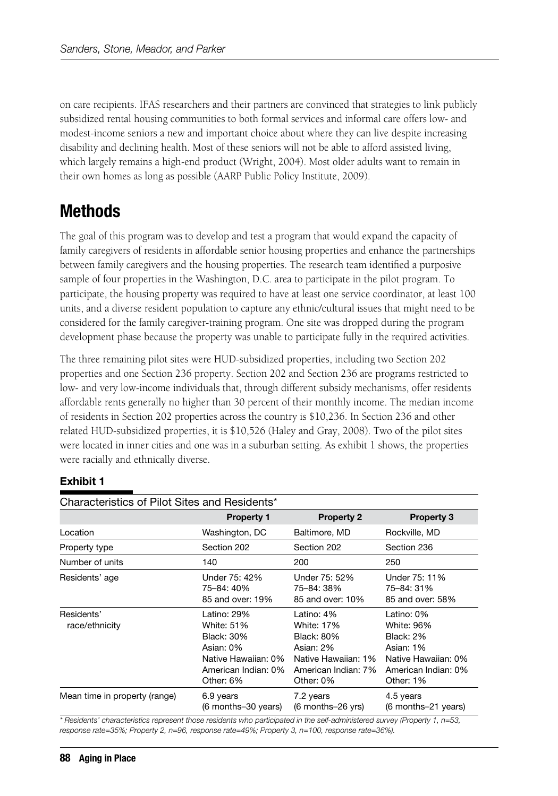on care recipients. IFAS researchers and their partners are convinced that strategies to link publicly subsidized rental housing communities to both formal services and informal care offers low- and modest-income seniors a new and important choice about where they can live despite increasing disability and declining health. Most of these seniors will not be able to afford assisted living, which largely remains a high-end product (Wright, 2004). Most older adults want to remain in their own homes as long as possible (AARP Public Policy Institute, 2009).

# **Methods**

The goal of this program was to develop and test a program that would expand the capacity of family caregivers of residents in affordable senior housing properties and enhance the partnerships between family caregivers and the housing properties. The research team identified a purposive sample of four properties in the Washington, D.C. area to participate in the pilot program. To participate, the housing property was required to have at least one service coordinator, at least 100 units, and a diverse resident population to capture any ethnic/cultural issues that might need to be considered for the family caregiver-training program. One site was dropped during the program development phase because the property was unable to participate fully in the required activities.

The three remaining pilot sites were HUD-subsidized properties, including two Section 202 properties and one Section 236 property. Section 202 and Section 236 are programs restricted to low- and very low-income individuals that, through different subsidy mechanisms, offer residents affordable rents generally no higher than 30 percent of their monthly income. The median income of residents in Section 202 properties across the country is \$10,236. In Section 236 and other related HUD-subsidized properties, it is \$10,526 (Haley and Gray, 2008). Two of the pilot sites were located in inner cities and one was in a suburban setting. As exhibit 1 shows, the properties were racially and ethnically diverse.

### **Exhibit 1**

| Characteristics of Pilot Sites and Residents* |                                                                                                                 |                                                                                                                       |                                                                                                               |  |  |
|-----------------------------------------------|-----------------------------------------------------------------------------------------------------------------|-----------------------------------------------------------------------------------------------------------------------|---------------------------------------------------------------------------------------------------------------|--|--|
|                                               | <b>Property 1</b>                                                                                               | <b>Property 2</b>                                                                                                     | <b>Property 3</b>                                                                                             |  |  |
| Location                                      | Washington, DC                                                                                                  | Baltimore, MD                                                                                                         | Rockville, MD                                                                                                 |  |  |
| Property type                                 | Section 202                                                                                                     | Section 202                                                                                                           | Section 236                                                                                                   |  |  |
| Number of units                               | 140                                                                                                             | 200                                                                                                                   | 250                                                                                                           |  |  |
| Residents' age                                | Under 75: 42%<br>75-84: 40%<br>85 and over: 19%                                                                 | Under 75: 52%<br>75-84: 38%<br>85 and over: 10%                                                                       | Under 75: 11%<br>75-84: 31%<br>85 and over: 58%                                                               |  |  |
| Residents'<br>race/ethnicity                  | Latino: 29%<br>White: 51%<br>Black: 30%<br>Asian: 0%<br>Native Hawaiian: 0%<br>American Indian: 0%<br>Other: 6% | Latino: 4%<br><b>White: 17%</b><br>Black: 80%<br>Asian: 2%<br>Native Hawaiian: 1%<br>American Indian: 7%<br>Other: 0% | Latino: 0%<br>White: 96%<br>Black: 2%<br>Asian: 1%<br>Native Hawaiian: 0%<br>American Indian: 0%<br>Other: 1% |  |  |
| Mean time in property (range)                 | 6.9 years<br>(6 months–30 years)                                                                                | 7.2 years<br>(6 months–26 yrs)                                                                                        | 4.5 years<br>(6 months-21 years)                                                                              |  |  |

*\* Residents' characteristics represent those residents who participated in the self-administered survey (Property 1, n=53, response rate=35%; Property 2, n=96, response rate=49%; Property 3, n=100, response rate=36%).*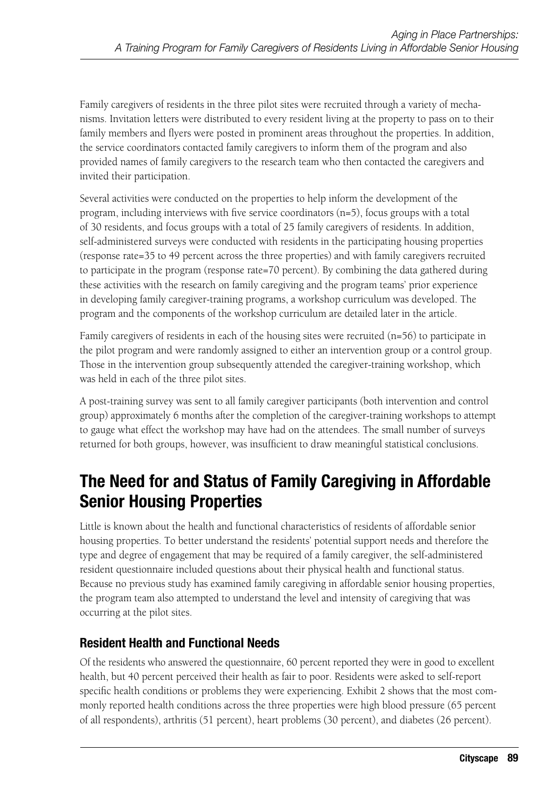Family caregivers of residents in the three pilot sites were recruited through a variety of mechanisms. Invitation letters were distributed to every resident living at the property to pass on to their family members and flyers were posted in prominent areas throughout the properties. In addition, the service coordinators contacted family caregivers to inform them of the program and also provided names of family caregivers to the research team who then contacted the caregivers and invited their participation.

Several activities were conducted on the properties to help inform the development of the program, including interviews with five service coordinators (n=5), focus groups with a total of 30 residents, and focus groups with a total of 25 family caregivers of residents. In addition, self-administered surveys were conducted with residents in the participating housing properties (response rate=35 to 49 percent across the three properties) and with family caregivers recruited to participate in the program (response rate=70 percent). By combining the data gathered during these activities with the research on family caregiving and the program teams' prior experience in developing family caregiver-training programs, a workshop curriculum was developed. The program and the components of the workshop curriculum are detailed later in the article.

Family caregivers of residents in each of the housing sites were recruited (n=56) to participate in the pilot program and were randomly assigned to either an intervention group or a control group. Those in the intervention group subsequently attended the caregiver-training workshop, which was held in each of the three pilot sites.

A post-training survey was sent to all family caregiver participants (both intervention and control group) approximately 6 months after the completion of the caregiver-training workshops to attempt to gauge what effect the workshop may have had on the attendees. The small number of surveys returned for both groups, however, was insufficient to draw meaningful statistical conclusions.

# **The Need for and Status of Family Caregiving in Affordable Senior Housing Properties**

Little is known about the health and functional characteristics of residents of affordable senior housing properties. To better understand the residents' potential support needs and therefore the type and degree of engagement that may be required of a family caregiver, the self-administered resident questionnaire included questions about their physical health and functional status. Because no previous study has examined family caregiving in affordable senior housing properties, the program team also attempted to understand the level and intensity of caregiving that was occurring at the pilot sites.

### **Resident Health and Functional Needs**

Of the residents who answered the questionnaire, 60 percent reported they were in good to excellent health, but 40 percent perceived their health as fair to poor. Residents were asked to self-report specific health conditions or problems they were experiencing. Exhibit 2 shows that the most commonly reported health conditions across the three properties were high blood pressure (65 percent of all respondents), arthritis (51 percent), heart problems (30 percent), and diabetes (26 percent).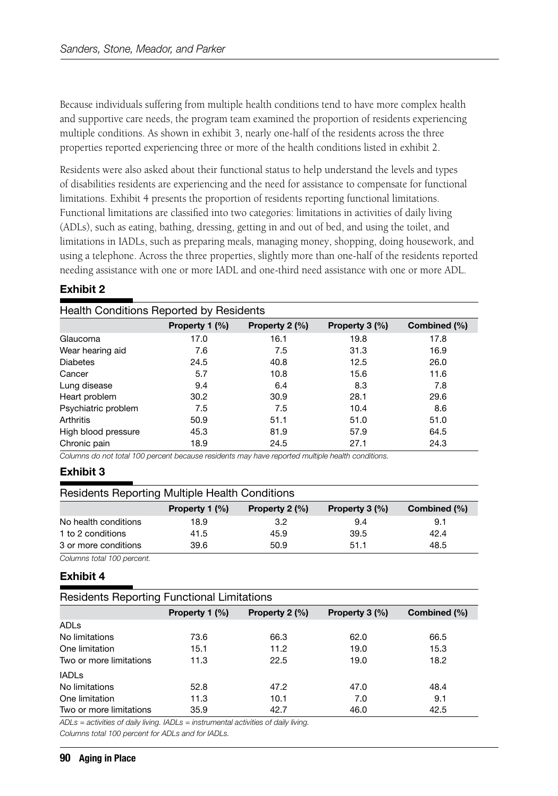Because individuals suffering from multiple health conditions tend to have more complex health and supportive care needs, the program team examined the proportion of residents experiencing multiple conditions. As shown in exhibit 3, nearly one-half of the residents across the three properties reported experiencing three or more of the health conditions listed in exhibit 2.

Residents were also asked about their functional status to help understand the levels and types of disabilities residents are experiencing and the need for assistance to compensate for functional limitations. Exhibit 4 presents the proportion of residents reporting functional limitations. Functional limitations are classified into two categories: limitations in activities of daily living (ADLs), such as eating, bathing, dressing, getting in and out of bed, and using the toilet, and limitations in IADLs, such as preparing meals, managing money, shopping, doing housework, and using a telephone. Across the three properties, slightly more than one-half of the residents reported needing assistance with one or more IADL and one-third need assistance with one or more ADL.

#### **Exhibit 2**

| Health Conditions Reported by Residents |                |                |                |              |
|-----------------------------------------|----------------|----------------|----------------|--------------|
|                                         | Property 1 (%) | Property 2 (%) | Property 3 (%) | Combined (%) |
| Glaucoma                                | 17.0           | 16.1           | 19.8           | 17.8         |
| Wear hearing aid                        | 7.6            | 7.5            | 31.3           | 16.9         |
| <b>Diabetes</b>                         | 24.5           | 40.8           | 12.5           | 26.0         |
| Cancer                                  | 5.7            | 10.8           | 15.6           | 11.6         |
| Lung disease                            | 9.4            | 6.4            | 8.3            | 7.8          |
| Heart problem                           | 30.2           | 30.9           | 28.1           | 29.6         |
| Psychiatric problem                     | 7.5            | 7.5            | 10.4           | 8.6          |
| Arthritis                               | 50.9           | 51.1           | 51.0           | 51.0         |
| High blood pressure                     | 45.3           | 81.9           | 57.9           | 64.5         |
| Chronic pain                            | 18.9           | 24.5           | 27.1           | 24.3         |

*Columns do not total 100 percent because residents may have reported multiple health conditions.*

#### **Exhibit 3**

| <b>Residents Reporting Multiple Health Conditions</b> |                |                          |                  |              |  |
|-------------------------------------------------------|----------------|--------------------------|------------------|--------------|--|
|                                                       | Property 1 (%) | Property $2 \frac{1}{2}$ | Property $3$ (%) | Combined (%) |  |
| No health conditions                                  | 18.9           | 3.2                      | 9.4              | 9.1          |  |
| 1 to 2 conditions                                     | 41.5           | 45.9                     | 39.5             | 42.4         |  |
| 3 or more conditions                                  | 39.6           | 50.9                     | 51.1             | 48.5         |  |

*Columns total 100 percent.*

#### **Exhibit 4**

| <b>Residents Reporting Functional Limitations</b> |                |                          |                |              |
|---------------------------------------------------|----------------|--------------------------|----------------|--------------|
|                                                   | Property 1 (%) | Property $2 \frac{1}{2}$ | Property 3 (%) | Combined (%) |
| ADLs                                              |                |                          |                |              |
| No limitations                                    | 73.6           | 66.3                     | 62.0           | 66.5         |
| One limitation                                    | 15.1           | 11.2                     | 19.0           | 15.3         |
| Two or more limitations                           | 11.3           | 22.5                     | 19.0           | 18.2         |
| <b>IADLs</b>                                      |                |                          |                |              |
| No limitations                                    | 52.8           | 47.2                     | 47.0           | 48.4         |
| One limitation                                    | 11.3           | 10.1                     | 7.0            | 9.1          |
| Two or more limitations                           | 35.9           | 42.7                     | 46.0           | 42.5         |

*ADLs = activities of daily living. IADLs = instrumental activities of daily living.*

*Columns total 100 percent for ADLs and for IADLs.*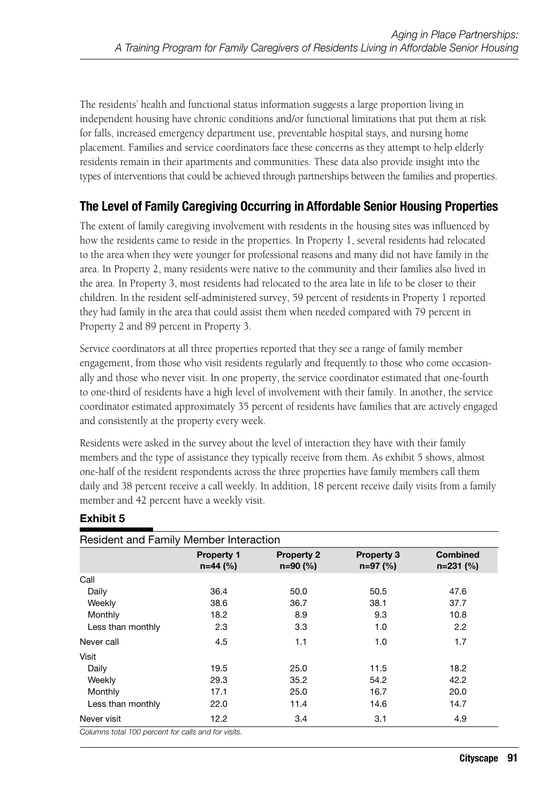The residents' health and functional status information suggests a large proportion living in independent housing have chronic conditions and/or functional limitations that put them at risk for falls, increased emergency department use, preventable hospital stays, and nursing home placement. Families and service coordinators face these concerns as they attempt to help elderly residents remain in their apartments and communities. These data also provide insight into the types of interventions that could be achieved through partnerships between the families and properties.

### **The Level of Family Caregiving Occurring in Affordable Senior Housing Properties**

The extent of family caregiving involvement with residents in the housing sites was influenced by how the residents came to reside in the properties. In Property 1, several residents had relocated to the area when they were younger for professional reasons and many did not have family in the area. In Property 2, many residents were native to the community and their families also lived in the area. In Property 3, most residents had relocated to the area late in life to be closer to their children. In the resident self-administered survey, 59 percent of residents in Property 1 reported they had family in the area that could assist them when needed compared with 79 percent in Property 2 and 89 percent in Property 3.

Service coordinators at all three properties reported that they see a range of family member engagement, from those who visit residents regularly and frequently to those who come occasionally and those who never visit. In one property, the service coordinator estimated that one-fourth to one-third of residents have a high level of involvement with their family. In another, the service coordinator estimated approximately 35 percent of residents have families that are actively engaged and consistently at the property every week.

Residents were asked in the survey about the level of interaction they have with their family members and the type of assistance they typically receive from them. As exhibit 5 shows, almost one-half of the resident respondents across the three properties have family members call them daily and 38 percent receive a call weekly. In addition, 18 percent receive daily visits from a family member and 42 percent have a weekly visit.

|                   | <b>Property 1</b><br>$n=44$ (%) | <b>Property 2</b><br>$n=90(%)$ | <b>Property 3</b><br>$n=97$ (%) | <b>Combined</b><br>$n=231$ (%) |
|-------------------|---------------------------------|--------------------------------|---------------------------------|--------------------------------|
| Call              |                                 |                                |                                 |                                |
| Daily             | 36.4                            | 50.0                           | 50.5                            | 47.6                           |
| Weekly            | 38.6                            | 36.7                           | 38.1                            | 37.7                           |
| Monthly           | 18.2                            | 8.9                            | 9.3                             | 10.8                           |
| Less than monthly | 2.3                             | 3.3                            | 1.0                             | 2.2                            |
| Never call        | 4.5                             | 1.1                            | 1.0                             | 1.7                            |
| Visit             |                                 |                                |                                 |                                |
| Daily             | 19.5                            | 25.0                           | 11.5                            | 18.2                           |
| Weekly            | 29.3                            | 35.2                           | 54.2                            | 42.2                           |
| Monthly           | 17.1                            | 25.0                           | 16.7                            | 20.0                           |
| Less than monthly | 22.0                            | 11.4                           | 14.6                            | 14.7                           |
| Never visit       | 12.2                            | 3.4                            | 3.1                             | 4.9                            |

### **Exhibit 5**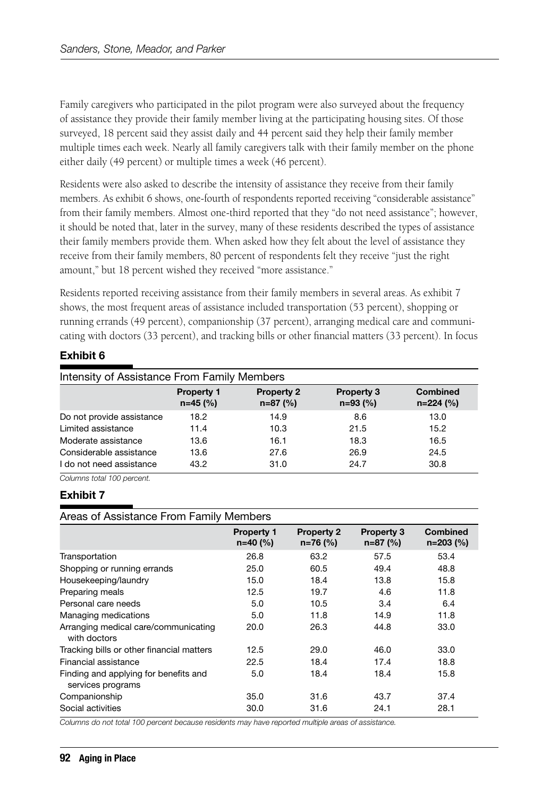Family caregivers who participated in the pilot program were also surveyed about the frequency of assistance they provide their family member living at the participating housing sites. Of those surveyed, 18 percent said they assist daily and 44 percent said they help their family member multiple times each week. Nearly all family caregivers talk with their family member on the phone either daily (49 percent) or multiple times a week (46 percent).

Residents were also asked to describe the intensity of assistance they receive from their family members. As exhibit 6 shows, one-fourth of respondents reported receiving "considerable assistance" from their family members. Almost one-third reported that they "do not need assistance"; however, it should be noted that, later in the survey, many of these residents described the types of assistance their family members provide them. When asked how they felt about the level of assistance they receive from their family members, 80 percent of respondents felt they receive "just the right amount," but 18 percent wished they received "more assistance."

Residents reported receiving assistance from their family members in several areas. As exhibit 7 shows, the most frequent areas of assistance included transportation (53 percent), shopping or running errands (49 percent), companionship (37 percent), arranging medical care and communicating with doctors (33 percent), and tracking bills or other financial matters (33 percent). In focus

### **Exhibit 6**

| Intensity of Assistance From Family Members         |                                 |                                 |                                 |                         |
|-----------------------------------------------------|---------------------------------|---------------------------------|---------------------------------|-------------------------|
|                                                     | <b>Property 1</b><br>$n=45$ (%) | <b>Property 2</b><br>$n=87$ (%) | <b>Property 3</b><br>$n=93$ (%) | Combined<br>$n=224$ (%) |
| Do not provide assistance                           | 18.2                            | 14.9                            | 8.6                             | 13.0                    |
| Limited assistance                                  | 11.4                            | 10.3                            | 21.5                            | 15.2                    |
| Moderate assistance                                 | 13.6                            | 16.1                            | 18.3                            | 16.5                    |
| Considerable assistance<br>I do not need assistance | 13.6<br>43.2                    | 27.6<br>31.0                    | 26.9<br>24.7                    | 24.5<br>30.8            |

*Columns total 100 percent.*

#### **Exhibit 7**

#### Areas of Assistance From Family Members

| ╯                                                          |                                 |                                 |                                 |                                |
|------------------------------------------------------------|---------------------------------|---------------------------------|---------------------------------|--------------------------------|
|                                                            | <b>Property 1</b><br>$n=40$ (%) | <b>Property 2</b><br>$n=76$ (%) | <b>Property 3</b><br>$n=87$ (%) | <b>Combined</b><br>$n=203$ (%) |
| Transportation                                             | 26.8                            | 63.2                            | 57.5                            | 53.4                           |
| Shopping or running errands                                | 25.0                            | 60.5                            | 49.4                            | 48.8                           |
| Housekeeping/laundry                                       | 15.0                            | 18.4                            | 13.8                            | 15.8                           |
| Preparing meals                                            | 12.5                            | 19.7                            | 4.6                             | 11.8                           |
| Personal care needs                                        | 5.0                             | 10.5                            | 3.4                             | 6.4                            |
| Managing medications                                       | 5.0                             | 11.8                            | 14.9                            | 11.8                           |
| Arranging medical care/communicating<br>with doctors       | 20.0                            | 26.3                            | 44.8                            | 33.0                           |
| Tracking bills or other financial matters                  | 12.5                            | 29.0                            | 46.0                            | 33.0                           |
| Financial assistance                                       | 22.5                            | 18.4                            | 17.4                            | 18.8                           |
| Finding and applying for benefits and<br>services programs | 5.0                             | 18.4                            | 18.4                            | 15.8                           |
| Companionship                                              | 35.0                            | 31.6                            | 43.7                            | 37.4                           |
| Social activities                                          | 30.0                            | 31.6                            | 24.1                            | 28.1                           |

*Columns do not total 100 percent because residents may have reported multiple areas of assistance.*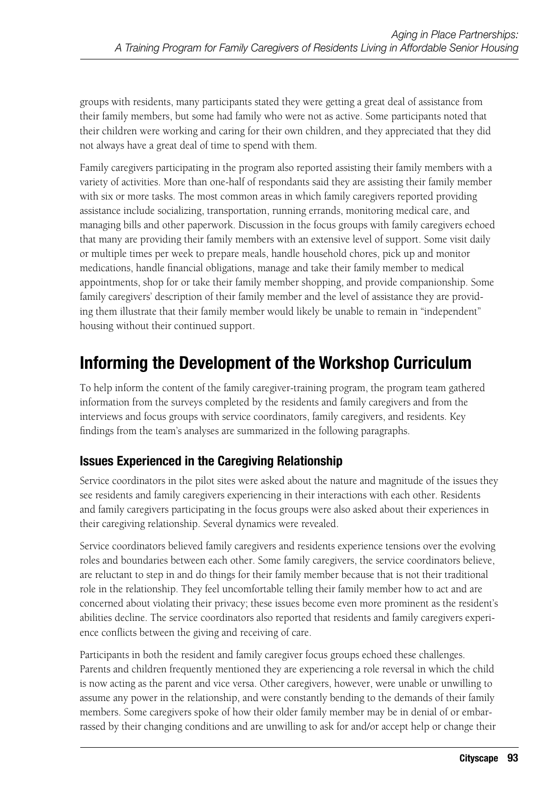groups with residents, many participants stated they were getting a great deal of assistance from their family members, but some had family who were not as active. Some participants noted that their children were working and caring for their own children, and they appreciated that they did not always have a great deal of time to spend with them.

Family caregivers participating in the program also reported assisting their family members with a variety of activities. More than one-half of respondants said they are assisting their family member with six or more tasks. The most common areas in which family caregivers reported providing assistance include socializing, transportation, running errands, monitoring medical care, and managing bills and other paperwork. Discussion in the focus groups with family caregivers echoed that many are providing their family members with an extensive level of support. Some visit daily or multiple times per week to prepare meals, handle household chores, pick up and monitor medications, handle financial obligations, manage and take their family member to medical appointments, shop for or take their family member shopping, and provide companionship. Some family caregivers' description of their family member and the level of assistance they are providing them illustrate that their family member would likely be unable to remain in "independent" housing without their continued support.

# **Informing the Development of the Workshop Curriculum**

To help inform the content of the family caregiver-training program, the program team gathered information from the surveys completed by the residents and family caregivers and from the interviews and focus groups with service coordinators, family caregivers, and residents. Key findings from the team's analyses are summarized in the following paragraphs.

### **Issues Experienced in the Caregiving Relationship**

Service coordinators in the pilot sites were asked about the nature and magnitude of the issues they see residents and family caregivers experiencing in their interactions with each other. Residents and family caregivers participating in the focus groups were also asked about their experiences in their caregiving relationship. Several dynamics were revealed.

Service coordinators believed family caregivers and residents experience tensions over the evolving roles and boundaries between each other. Some family caregivers, the service coordinators believe, are reluctant to step in and do things for their family member because that is not their traditional role in the relationship. They feel uncomfortable telling their family member how to act and are concerned about violating their privacy; these issues become even more prominent as the resident's abilities decline. The service coordinators also reported that residents and family caregivers experience conflicts between the giving and receiving of care.

Participants in both the resident and family caregiver focus groups echoed these challenges. Parents and children frequently mentioned they are experiencing a role reversal in which the child is now acting as the parent and vice versa. Other caregivers, however, were unable or unwilling to assume any power in the relationship, and were constantly bending to the demands of their family members. Some caregivers spoke of how their older family member may be in denial of or embarrassed by their changing conditions and are unwilling to ask for and/or accept help or change their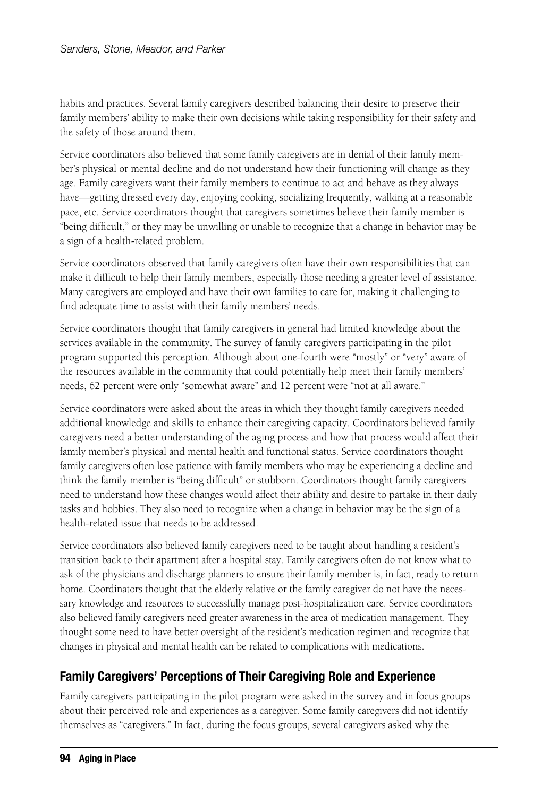habits and practices. Several family caregivers described balancing their desire to preserve their family members' ability to make their own decisions while taking responsibility for their safety and the safety of those around them.

Service coordinators also believed that some family caregivers are in denial of their family member's physical or mental decline and do not understand how their functioning will change as they age. Family caregivers want their family members to continue to act and behave as they always have—getting dressed every day, enjoying cooking, socializing frequently, walking at a reasonable pace, etc. Service coordinators thought that caregivers sometimes believe their family member is "being difficult," or they may be unwilling or unable to recognize that a change in behavior may be a sign of a health-related problem.

Service coordinators observed that family caregivers often have their own responsibilities that can make it difficult to help their family members, especially those needing a greater level of assistance. Many caregivers are employed and have their own families to care for, making it challenging to find adequate time to assist with their family members' needs.

Service coordinators thought that family caregivers in general had limited knowledge about the services available in the community. The survey of family caregivers participating in the pilot program supported this perception. Although about one-fourth were "mostly" or "very" aware of the resources available in the community that could potentially help meet their family members' needs, 62 percent were only "somewhat aware" and 12 percent were "not at all aware."

Service coordinators were asked about the areas in which they thought family caregivers needed additional knowledge and skills to enhance their caregiving capacity. Coordinators believed family caregivers need a better understanding of the aging process and how that process would affect their family member's physical and mental health and functional status. Service coordinators thought family caregivers often lose patience with family members who may be experiencing a decline and think the family member is "being difficult" or stubborn. Coordinators thought family caregivers need to understand how these changes would affect their ability and desire to partake in their daily tasks and hobbies. They also need to recognize when a change in behavior may be the sign of a health-related issue that needs to be addressed.

Service coordinators also believed family caregivers need to be taught about handling a resident's transition back to their apartment after a hospital stay. Family caregivers often do not know what to ask of the physicians and discharge planners to ensure their family member is, in fact, ready to return home. Coordinators thought that the elderly relative or the family caregiver do not have the necessary knowledge and resources to successfully manage post-hospitalization care. Service coordinators also believed family caregivers need greater awareness in the area of medication management. They thought some need to have better oversight of the resident's medication regimen and recognize that changes in physical and mental health can be related to complications with medications.

### **Family Caregivers' Perceptions of Their Caregiving Role and Experience**

Family caregivers participating in the pilot program were asked in the survey and in focus groups about their perceived role and experiences as a caregiver. Some family caregivers did not identify themselves as "caregivers." In fact, during the focus groups, several caregivers asked why the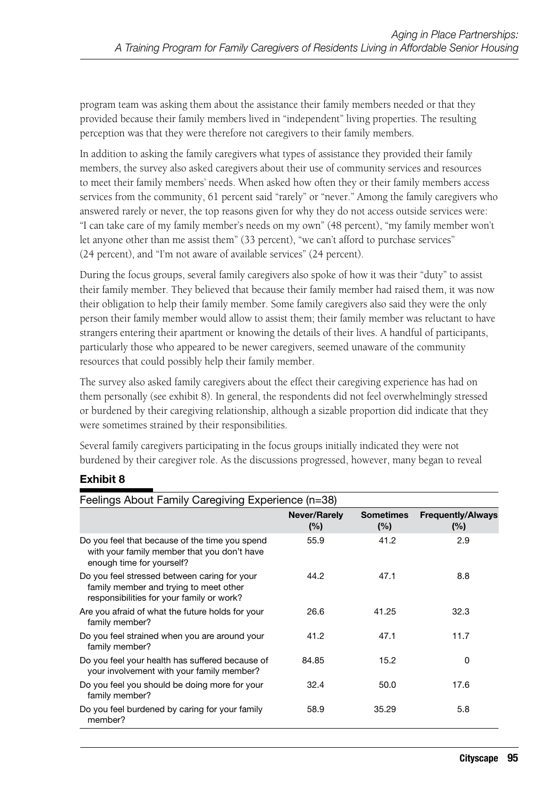program team was asking them about the assistance their family members needed or that they provided because their family members lived in "independent" living properties. The resulting perception was that they were therefore not caregivers to their family members.

In addition to asking the family caregivers what types of assistance they provided their family members, the survey also asked caregivers about their use of community services and resources to meet their family members' needs. When asked how often they or their family members access services from the community, 61 percent said "rarely" or "never." Among the family caregivers who answered rarely or never, the top reasons given for why they do not access outside services were: "I can take care of my family member's needs on my own" (48 percent), "my family member won't let anyone other than me assist them" (33 percent), "we can't afford to purchase services" (24 percent), and "I'm not aware of available services" (24 percent).

During the focus groups, several family caregivers also spoke of how it was their "duty" to assist their family member. They believed that because their family member had raised them, it was now their obligation to help their family member. Some family caregivers also said they were the only person their family member would allow to assist them; their family member was reluctant to have strangers entering their apartment or knowing the details of their lives. A handful of participants, particularly those who appeared to be newer caregivers, seemed unaware of the community resources that could possibly help their family member.

The survey also asked family caregivers about the effect their caregiving experience has had on them personally (see exhibit 8). In general, the respondents did not feel overwhelmingly stressed or burdened by their caregiving relationship, although a sizable proportion did indicate that they were sometimes strained by their responsibilities.

Several family caregivers participating in the focus groups initially indicated they were not burdened by their caregiver role. As the discussions progressed, however, many began to reveal

### **Exhibit 8**

| Feelings About Family Caregiving Experience (n=38)                                                                                  |                     |                         |                                 |  |  |
|-------------------------------------------------------------------------------------------------------------------------------------|---------------------|-------------------------|---------------------------------|--|--|
|                                                                                                                                     | Never/Rarely<br>(%) | <b>Sometimes</b><br>(%) | <b>Frequently/Always</b><br>(%) |  |  |
| Do you feel that because of the time you spend<br>with your family member that you don't have<br>enough time for yourself?          | 55.9                | 41.2                    | 2.9                             |  |  |
| Do you feel stressed between caring for your<br>family member and trying to meet other<br>responsibilities for your family or work? | 44.2                | 47.1                    | 8.8                             |  |  |
| Are you afraid of what the future holds for your<br>family member?                                                                  | 26.6                | 41.25                   | 32.3                            |  |  |
| Do you feel strained when you are around your<br>family member?                                                                     | 41.2                | 47.1                    | 11.7                            |  |  |
| Do you feel your health has suffered because of<br>your involvement with your family member?                                        | 84.85               | 15.2                    | 0                               |  |  |
| Do you feel you should be doing more for your<br>family member?                                                                     | 32.4                | 50.0                    | 17.6                            |  |  |
| Do you feel burdened by caring for your family<br>member?                                                                           | 58.9                | 35.29                   | 5.8                             |  |  |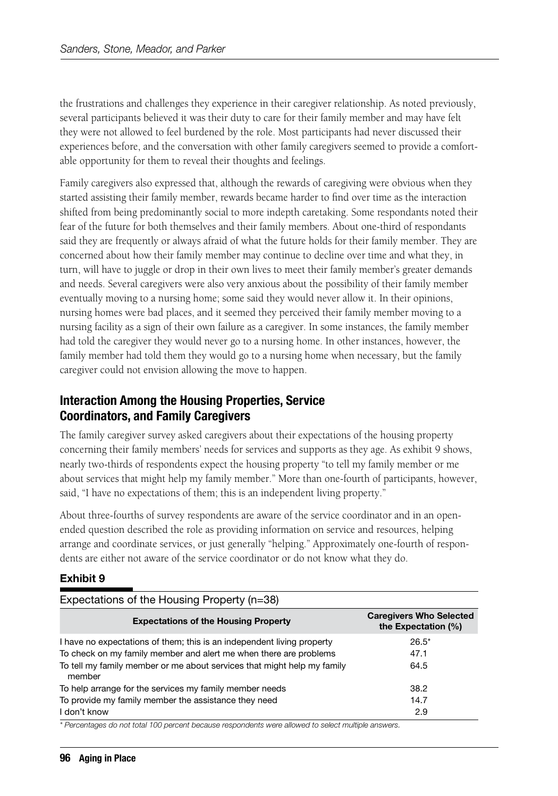the frustrations and challenges they experience in their caregiver relationship. As noted previously, several participants believed it was their duty to care for their family member and may have felt they were not allowed to feel burdened by the role. Most participants had never discussed their experiences before, and the conversation with other family caregivers seemed to provide a comfortable opportunity for them to reveal their thoughts and feelings.

Family caregivers also expressed that, although the rewards of caregiving were obvious when they started assisting their family member, rewards became harder to find over time as the interaction shifted from being predominantly social to more indepth caretaking. Some respondants noted their fear of the future for both themselves and their family members. About one-third of respondants said they are frequently or always afraid of what the future holds for their family member. They are concerned about how their family member may continue to decline over time and what they, in turn, will have to juggle or drop in their own lives to meet their family member's greater demands and needs. Several caregivers were also very anxious about the possibility of their family member eventually moving to a nursing home; some said they would never allow it. In their opinions, nursing homes were bad places, and it seemed they perceived their family member moving to a nursing facility as a sign of their own failure as a caregiver. In some instances, the family member had told the caregiver they would never go to a nursing home. In other instances, however, the family member had told them they would go to a nursing home when necessary, but the family caregiver could not envision allowing the move to happen.

### **Interaction Among the Housing Properties, Service Coordinators, and Family Caregivers**

The family caregiver survey asked caregivers about their expectations of the housing property concerning their family members' needs for services and supports as they age. As exhibit 9 shows, nearly two-thirds of respondents expect the housing property "to tell my family member or me about services that might help my family member." More than one-fourth of participants, however, said, "I have no expectations of them; this is an independent living property."

About three-fourths of survey respondents are aware of the service coordinator and in an openended question described the role as providing information on service and resources, helping arrange and coordinate services, or just generally "helping." Approximately one-fourth of respondents are either not aware of the service coordinator or do not know what they do.

### **Exhibit 9**

| Expectations of the Housing Property (n=38)                                                                                                 |                                                       |  |  |  |  |
|---------------------------------------------------------------------------------------------------------------------------------------------|-------------------------------------------------------|--|--|--|--|
| <b>Expectations of the Housing Property</b>                                                                                                 | <b>Caregivers Who Selected</b><br>the Expectation (%) |  |  |  |  |
| I have no expectations of them; this is an independent living property<br>To check on my family member and alert me when there are problems | $26.5*$<br>47.1                                       |  |  |  |  |
| To tell my family member or me about services that might help my family<br>member                                                           | 64.5                                                  |  |  |  |  |
| To help arrange for the services my family member needs                                                                                     | 38.2                                                  |  |  |  |  |
| To provide my family member the assistance they need                                                                                        | 14.7                                                  |  |  |  |  |
| I don't know                                                                                                                                | 2.9                                                   |  |  |  |  |

*\* Percentages do not total 100 percent because respondents were allowed to select multiple answers.*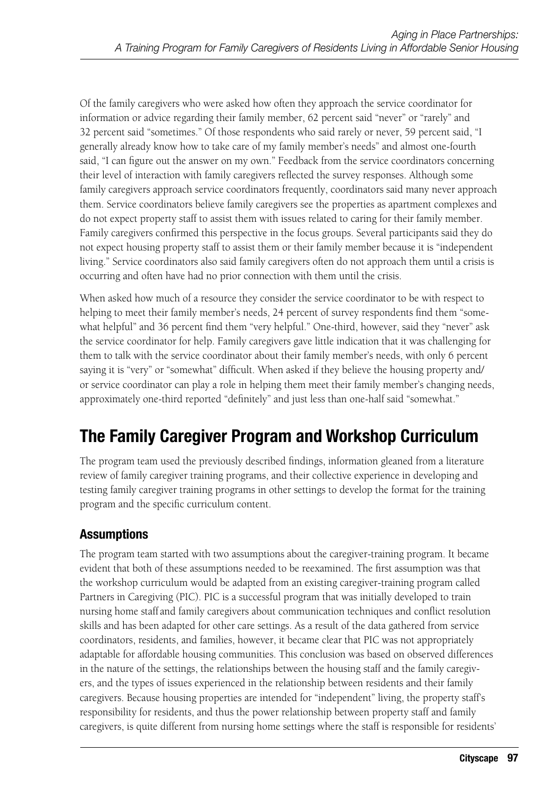Of the family caregivers who were asked how often they approach the service coordinator for information or advice regarding their family member, 62 percent said "never" or "rarely" and 32 percent said "sometimes." Of those respondents who said rarely or never, 59 percent said, "I generally already know how to take care of my family member's needs" and almost one-fourth said, "I can figure out the answer on my own." Feedback from the service coordinators concerning their level of interaction with family caregivers reflected the survey responses. Although some family caregivers approach service coordinators frequently, coordinators said many never approach them. Service coordinators believe family caregivers see the properties as apartment complexes and do not expect property staff to assist them with issues related to caring for their family member. Family caregivers confirmed this perspective in the focus groups. Several participants said they do not expect housing property staff to assist them or their family member because it is "independent living." Service coordinators also said family caregivers often do not approach them until a crisis is occurring and often have had no prior connection with them until the crisis.

When asked how much of a resource they consider the service coordinator to be with respect to helping to meet their family member's needs, 24 percent of survey respondents find them "somewhat helpful" and 36 percent find them "very helpful." One-third, however, said they "never" ask the service coordinator for help. Family caregivers gave little indication that it was challenging for them to talk with the service coordinator about their family member's needs, with only 6 percent saying it is "very" or "somewhat" difficult. When asked if they believe the housing property and/ or service coordinator can play a role in helping them meet their family member's changing needs, approximately one-third reported "definitely" and just less than one-half said "somewhat."

# **The Family Caregiver Program and Workshop Curriculum**

The program team used the previously described findings, information gleaned from a literature review of family caregiver training programs, and their collective experience in developing and testing family caregiver training programs in other settings to develop the format for the training program and the specific curriculum content.

### **Assumptions**

The program team started with two assumptions about the caregiver-training program. It became evident that both of these assumptions needed to be reexamined. The first assumption was that the workshop curriculum would be adapted from an existing caregiver-training program called Partners in Caregiving (PIC). PIC is a successful program that was initially developed to train nursing home staff and family caregivers about communication techniques and conflict resolution skills and has been adapted for other care settings. As a result of the data gathered from service coordinators, residents, and families, however, it became clear that PIC was not appropriately adaptable for affordable housing communities. This conclusion was based on observed differences in the nature of the settings, the relationships between the housing staff and the family caregivers, and the types of issues experienced in the relationship between residents and their family caregivers. Because housing properties are intended for "independent" living, the property staff's responsibility for residents, and thus the power relationship between property staff and family caregivers, is quite different from nursing home settings where the staff is responsible for residents'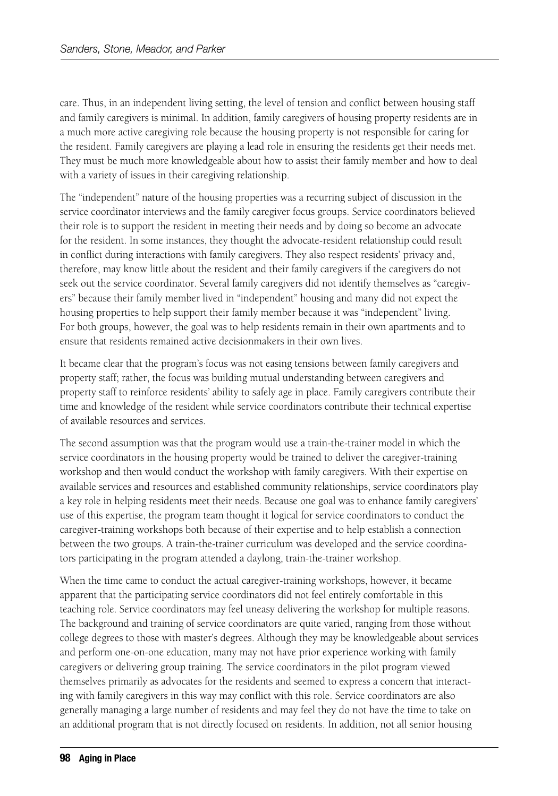care. Thus, in an independent living setting, the level of tension and conflict between housing staff and family caregivers is minimal. In addition, family caregivers of housing property residents are in a much more active caregiving role because the housing property is not responsible for caring for the resident. Family caregivers are playing a lead role in ensuring the residents get their needs met. They must be much more knowledgeable about how to assist their family member and how to deal with a variety of issues in their caregiving relationship.

The "independent" nature of the housing properties was a recurring subject of discussion in the service coordinator interviews and the family caregiver focus groups. Service coordinators believed their role is to support the resident in meeting their needs and by doing so become an advocate for the resident. In some instances, they thought the advocate-resident relationship could result in conflict during interactions with family caregivers. They also respect residents' privacy and, therefore, may know little about the resident and their family caregivers if the caregivers do not seek out the service coordinator. Several family caregivers did not identify themselves as "caregivers" because their family member lived in "independent" housing and many did not expect the housing properties to help support their family member because it was "independent" living. For both groups, however, the goal was to help residents remain in their own apartments and to ensure that residents remained active decisionmakers in their own lives.

It became clear that the program's focus was not easing tensions between family caregivers and property staff; rather, the focus was building mutual understanding between caregivers and property staff to reinforce residents' ability to safely age in place. Family caregivers contribute their time and knowledge of the resident while service coordinators contribute their technical expertise of available resources and services.

The second assumption was that the program would use a train-the-trainer model in which the service coordinators in the housing property would be trained to deliver the caregiver-training workshop and then would conduct the workshop with family caregivers. With their expertise on available services and resources and established community relationships, service coordinators play a key role in helping residents meet their needs. Because one goal was to enhance family caregivers' use of this expertise, the program team thought it logical for service coordinators to conduct the caregiver-training workshops both because of their expertise and to help establish a connection between the two groups. A train-the-trainer curriculum was developed and the service coordinators participating in the program attended a daylong, train-the-trainer workshop.

When the time came to conduct the actual caregiver-training workshops, however, it became apparent that the participating service coordinators did not feel entirely comfortable in this teaching role. Service coordinators may feel uneasy delivering the workshop for multiple reasons. The background and training of service coordinators are quite varied, ranging from those without college degrees to those with master's degrees. Although they may be knowledgeable about services and perform one-on-one education, many may not have prior experience working with family caregivers or delivering group training. The service coordinators in the pilot program viewed themselves primarily as advocates for the residents and seemed to express a concern that interacting with family caregivers in this way may conflict with this role. Service coordinators are also generally managing a large number of residents and may feel they do not have the time to take on an additional program that is not directly focused on residents. In addition, not all senior housing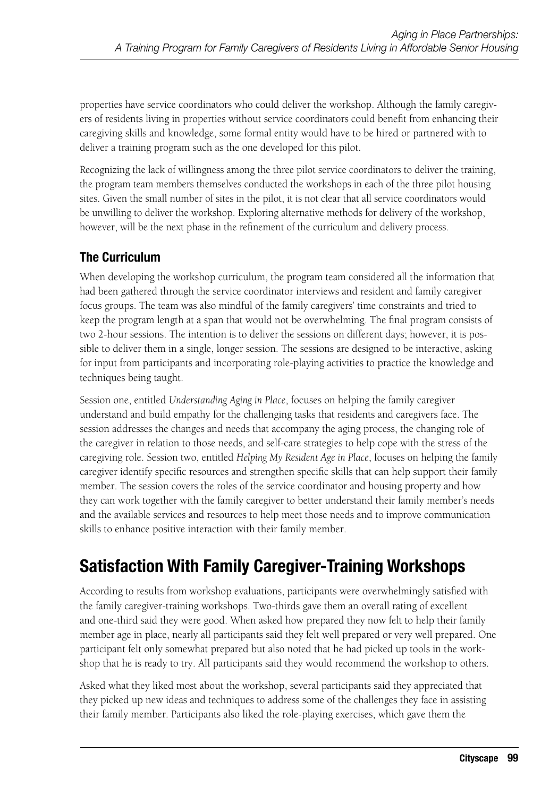properties have service coordinators who could deliver the workshop. Although the family caregivers of residents living in properties without service coordinators could benefit from enhancing their caregiving skills and knowledge, some formal entity would have to be hired or partnered with to deliver a training program such as the one developed for this pilot.

Recognizing the lack of willingness among the three pilot service coordinators to deliver the training, the program team members themselves conducted the workshops in each of the three pilot housing sites. Given the small number of sites in the pilot, it is not clear that all service coordinators would be unwilling to deliver the workshop. Exploring alternative methods for delivery of the workshop, however, will be the next phase in the refinement of the curriculum and delivery process.

### **The Curriculum**

When developing the workshop curriculum, the program team considered all the information that had been gathered through the service coordinator interviews and resident and family caregiver focus groups. The team was also mindful of the family caregivers' time constraints and tried to keep the program length at a span that would not be overwhelming. The final program consists of two 2-hour sessions. The intention is to deliver the sessions on different days; however, it is possible to deliver them in a single, longer session. The sessions are designed to be interactive, asking for input from participants and incorporating role-playing activities to practice the knowledge and techniques being taught.

Session one, entitled *Understanding Aging in Place*, focuses on helping the family caregiver understand and build empathy for the challenging tasks that residents and caregivers face. The session addresses the changes and needs that accompany the aging process, the changing role of the caregiver in relation to those needs, and self-care strategies to help cope with the stress of the caregiving role. Session two, entitled *Helping My Resident Age in Place*, focuses on helping the family caregiver identify specific resources and strengthen specific skills that can help support their family member. The session covers the roles of the service coordinator and housing property and how they can work together with the family caregiver to better understand their family member's needs and the available services and resources to help meet those needs and to improve communication skills to enhance positive interaction with their family member.

# **Satisfaction With Family Caregiver-Training Workshops**

According to results from workshop evaluations, participants were overwhelmingly satisfied with the family caregiver-training workshops. Two-thirds gave them an overall rating of excellent and one-third said they were good. When asked how prepared they now felt to help their family member age in place, nearly all participants said they felt well prepared or very well prepared. One participant felt only somewhat prepared but also noted that he had picked up tools in the workshop that he is ready to try. All participants said they would recommend the workshop to others.

Asked what they liked most about the workshop, several participants said they appreciated that they picked up new ideas and techniques to address some of the challenges they face in assisting their family member. Participants also liked the role-playing exercises, which gave them the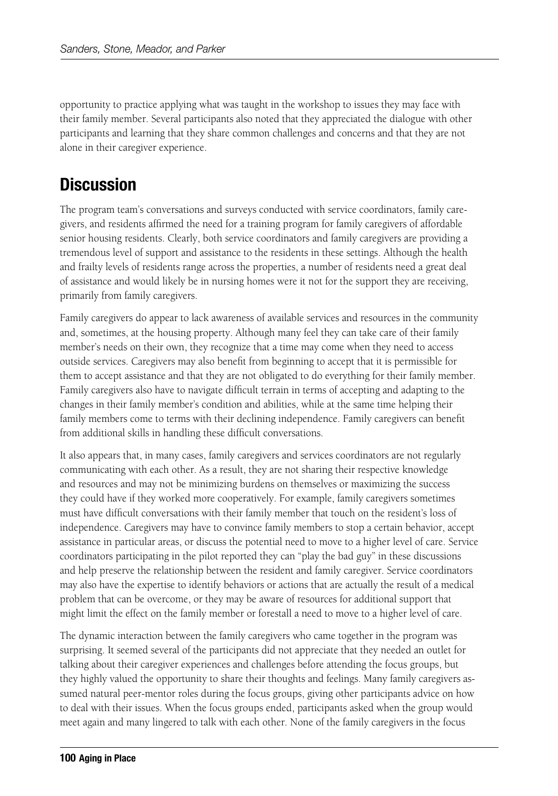opportunity to practice applying what was taught in the workshop to issues they may face with their family member. Several participants also noted that they appreciated the dialogue with other participants and learning that they share common challenges and concerns and that they are not alone in their caregiver experience.

# **Discussion**

The program team's conversations and surveys conducted with service coordinators, family caregivers, and residents affirmed the need for a training program for family caregivers of affordable senior housing residents. Clearly, both service coordinators and family caregivers are providing a tremendous level of support and assistance to the residents in these settings. Although the health and frailty levels of residents range across the properties, a number of residents need a great deal of assistance and would likely be in nursing homes were it not for the support they are receiving, primarily from family caregivers.

Family caregivers do appear to lack awareness of available services and resources in the community and, sometimes, at the housing property. Although many feel they can take care of their family member's needs on their own, they recognize that a time may come when they need to access outside services. Caregivers may also benefit from beginning to accept that it is permissible for them to accept assistance and that they are not obligated to do everything for their family member. Family caregivers also have to navigate difficult terrain in terms of accepting and adapting to the changes in their family member's condition and abilities, while at the same time helping their family members come to terms with their declining independence. Family caregivers can benefit from additional skills in handling these difficult conversations.

It also appears that, in many cases, family caregivers and services coordinators are not regularly communicating with each other. As a result, they are not sharing their respective knowledge and resources and may not be minimizing burdens on themselves or maximizing the success they could have if they worked more cooperatively. For example, family caregivers sometimes must have difficult conversations with their family member that touch on the resident's loss of independence. Caregivers may have to convince family members to stop a certain behavior, accept assistance in particular areas, or discuss the potential need to move to a higher level of care. Service coordinators participating in the pilot reported they can "play the bad guy" in these discussions and help preserve the relationship between the resident and family caregiver. Service coordinators may also have the expertise to identify behaviors or actions that are actually the result of a medical problem that can be overcome, or they may be aware of resources for additional support that might limit the effect on the family member or forestall a need to move to a higher level of care.

The dynamic interaction between the family caregivers who came together in the program was surprising. It seemed several of the participants did not appreciate that they needed an outlet for talking about their caregiver experiences and challenges before attending the focus groups, but they highly valued the opportunity to share their thoughts and feelings. Many family caregivers assumed natural peer-mentor roles during the focus groups, giving other participants advice on how to deal with their issues. When the focus groups ended, participants asked when the group would meet again and many lingered to talk with each other. None of the family caregivers in the focus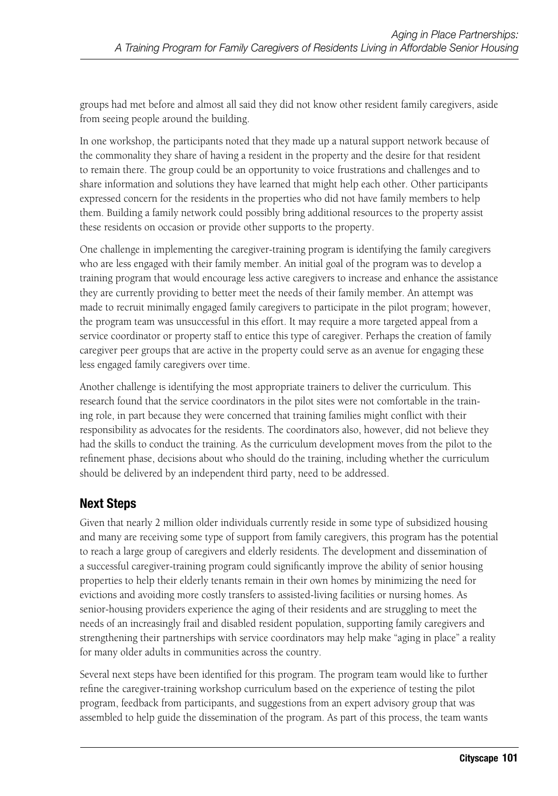groups had met before and almost all said they did not know other resident family caregivers, aside from seeing people around the building.

In one workshop, the participants noted that they made up a natural support network because of the commonality they share of having a resident in the property and the desire for that resident to remain there. The group could be an opportunity to voice frustrations and challenges and to share information and solutions they have learned that might help each other. Other participants expressed concern for the residents in the properties who did not have family members to help them. Building a family network could possibly bring additional resources to the property assist these residents on occasion or provide other supports to the property.

One challenge in implementing the caregiver-training program is identifying the family caregivers who are less engaged with their family member. An initial goal of the program was to develop a training program that would encourage less active caregivers to increase and enhance the assistance they are currently providing to better meet the needs of their family member. An attempt was made to recruit minimally engaged family caregivers to participate in the pilot program; however, the program team was unsuccessful in this effort. It may require a more targeted appeal from a service coordinator or property staff to entice this type of caregiver. Perhaps the creation of family caregiver peer groups that are active in the property could serve as an avenue for engaging these less engaged family caregivers over time.

Another challenge is identifying the most appropriate trainers to deliver the curriculum. This research found that the service coordinators in the pilot sites were not comfortable in the training role, in part because they were concerned that training families might conflict with their responsibility as advocates for the residents. The coordinators also, however, did not believe they had the skills to conduct the training. As the curriculum development moves from the pilot to the refinement phase, decisions about who should do the training, including whether the curriculum should be delivered by an independent third party, need to be addressed.

### **Next Steps**

Given that nearly 2 million older individuals currently reside in some type of subsidized housing and many are receiving some type of support from family caregivers, this program has the potential to reach a large group of caregivers and elderly residents. The development and dissemination of a successful caregiver-training program could significantly improve the ability of senior housing properties to help their elderly tenants remain in their own homes by minimizing the need for evictions and avoiding more costly transfers to assisted-living facilities or nursing homes. As senior-housing providers experience the aging of their residents and are struggling to meet the needs of an increasingly frail and disabled resident population, supporting family caregivers and strengthening their partnerships with service coordinators may help make "aging in place" a reality for many older adults in communities across the country.

Several next steps have been identified for this program. The program team would like to further refine the caregiver-training workshop curriculum based on the experience of testing the pilot program, feedback from participants, and suggestions from an expert advisory group that was assembled to help guide the dissemination of the program. As part of this process, the team wants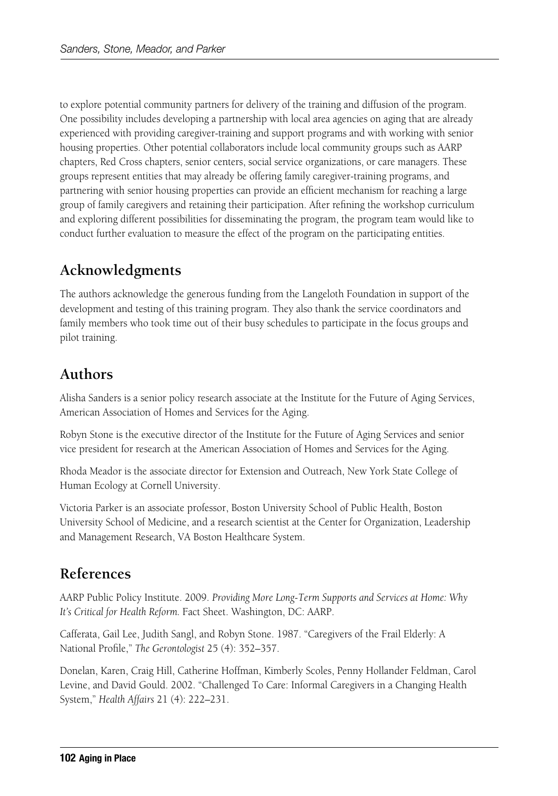to explore potential community partners for delivery of the training and diffusion of the program. One possibility includes developing a partnership with local area agencies on aging that are already experienced with providing caregiver-training and support programs and with working with senior housing properties. Other potential collaborators include local community groups such as AARP chapters, Red Cross chapters, senior centers, social service organizations, or care managers. These groups represent entities that may already be offering family caregiver-training programs, and partnering with senior housing properties can provide an efficient mechanism for reaching a large group of family caregivers and retaining their participation. After refining the workshop curriculum and exploring different possibilities for disseminating the program, the program team would like to conduct further evaluation to measure the effect of the program on the participating entities.

# **Acknowledgments**

The authors acknowledge the generous funding from the Langeloth Foundation in support of the development and testing of this training program. They also thank the service coordinators and family members who took time out of their busy schedules to participate in the focus groups and pilot training.

# **Authors**

Alisha Sanders is a senior policy research associate at the Institute for the Future of Aging Services, American Association of Homes and Services for the Aging.

Robyn Stone is the executive director of the Institute for the Future of Aging Services and senior vice president for research at the American Association of Homes and Services for the Aging.

Rhoda Meador is the associate director for Extension and Outreach, New York State College of Human Ecology at Cornell University.

Victoria Parker is an associate professor, Boston University School of Public Health, Boston University School of Medicine, and a research scientist at the Center for Organization, Leadership and Management Research, VA Boston Healthcare System.

# **References**

AARP Public Policy Institute. 2009. *Providing More Long-Term Supports and Services at Home: Why It's Critical for Health Reform.* Fact Sheet. Washington, DC: AARP.

Cafferata, Gail Lee, Judith Sangl, and Robyn Stone. 1987. "Caregivers of the Frail Elderly: A National Profile," *The Gerontologist* 25 (4): 352–357.

Donelan, Karen, Craig Hill, Catherine Hoffman, Kimberly Scoles, Penny Hollander Feldman, Carol Levine, and David Gould. 2002. "Challenged To Care: Informal Caregivers in a Changing Health System," *Health Affairs* 21 (4): 222–231.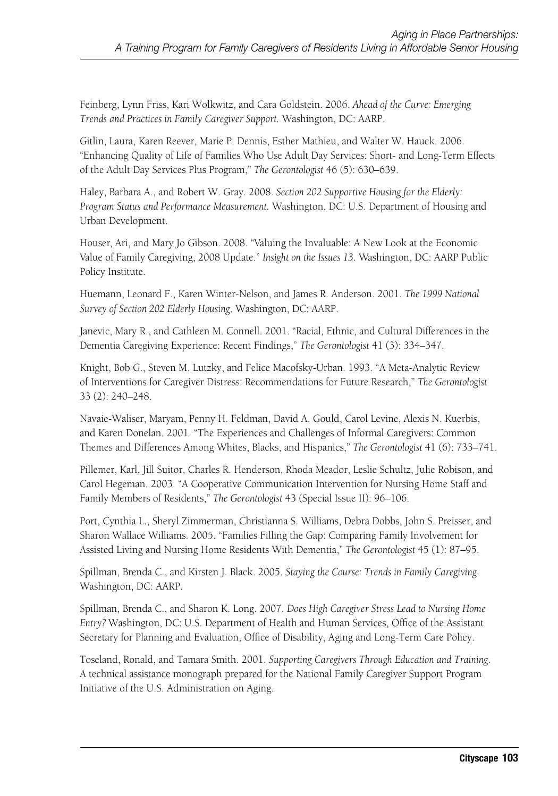Feinberg, Lynn Friss, Kari Wolkwitz, and Cara Goldstein. 2006. *Ahead of the Curve: Emerging Trends and Practices in Family Caregiver Support.* Washington, DC: AARP.

Gitlin, Laura, Karen Reever, Marie P. Dennis, Esther Mathieu, and Walter W. Hauck. 2006. "Enhancing Quality of Life of Families Who Use Adult Day Services: Short- and Long-Term Effects of the Adult Day Services Plus Program," *The Gerontologist* 46 (5): 630–639.

Haley, Barbara A., and Robert W. Gray. 2008. *Section 202 Supportive Housing for the Elderly: Program Status and Performance Measurement.* Washington, DC: U.S. Department of Housing and Urban Development.

Houser, Ari, and Mary Jo Gibson. 2008. "Valuing the Invaluable: A New Look at the Economic Value of Family Caregiving, 2008 Update." *Insight on the Issues 13*. Washington, DC: AARP Public Policy Institute.

Huemann, Leonard F., Karen Winter-Nelson, and James R. Anderson. 2001. *The 1999 National Survey of Section 202 Elderly Housing*. Washington, DC: AARP.

Janevic, Mary R., and Cathleen M. Connell. 2001. "Racial, Ethnic, and Cultural Differences in the Dementia Caregiving Experience: Recent Findings," *The Gerontologist* 41 (3): 334–347.

Knight, Bob G., Steven M. Lutzky, and Felice Macofsky-Urban. 1993. "A Meta-Analytic Review of Interventions for Caregiver Distress: Recommendations for Future Research," *The Gerontologist* 33 (2): 240–248.

Navaie-Waliser, Maryam, Penny H. Feldman, David A. Gould, Carol Levine, Alexis N. Kuerbis, and Karen Donelan. 2001. "The Experiences and Challenges of Informal Caregivers: Common Themes and Differences Among Whites, Blacks, and Hispanics," *The Gerontologist* 41 (6): 733–741.

Pillemer, Karl, Jill Suitor, Charles R. Henderson, Rhoda Meador, Leslie Schultz, Julie Robison, and Carol Hegeman. 2003. "A Cooperative Communication Intervention for Nursing Home Staff and Family Members of Residents," *The Gerontologist* 43 (Special Issue II): 96–106.

Port, Cynthia L., Sheryl Zimmerman, Christianna S. Williams, Debra Dobbs, John S. Preisser, and Sharon Wallace Williams. 2005. "Families Filling the Gap: Comparing Family Involvement for Assisted Living and Nursing Home Residents With Dementia," *The Gerontologist* 45 (1): 87–95.

Spillman, Brenda C., and Kirsten J. Black. 2005. *Staying the Course: Trends in Family Caregiving*. Washington, DC: AARP.

Spillman, Brenda C., and Sharon K. Long. 2007. *Does High Caregiver Stress Lead to Nursing Home Entry?* Washington, DC: U.S. Department of Health and Human Services, Office of the Assistant Secretary for Planning and Evaluation, Office of Disability, Aging and Long-Term Care Policy.

Toseland, Ronald, and Tamara Smith. 2001. *Supporting Caregivers Through Education and Training*. A technical assistance monograph prepared for the National Family Caregiver Support Program Initiative of the U.S. Administration on Aging.